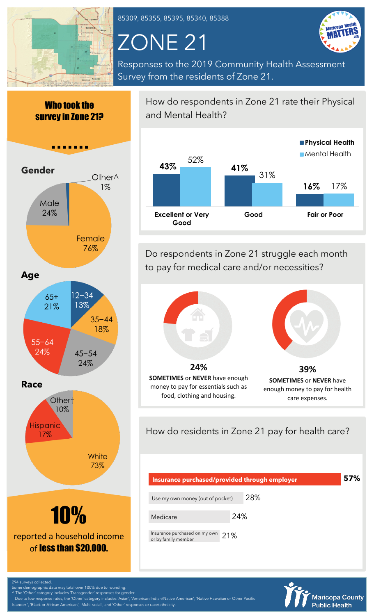

85309, 85355, 85395, 85340, 85388

# ZONE 21



Responses to the 2019 Community Health Assessment Survey from the residents of Zone 21.

Who took the survey in Zone 21?



How do respondents in Zone 21 rate their Physical and Mental Health?



Do respondents in Zone 21 struggle each month to pay for medical care and/or necessities?



How do residents in Zone 21 pay for health care?

| 57%<br>Insurance purchased/provided through employer |     |  |
|------------------------------------------------------|-----|--|
| 28%<br>Use my own money (out of pocket)              |     |  |
| Medicare                                             | 24% |  |
| Insurance purchased on my own<br>or by family member | 21% |  |



Some demographic data may total over 100% due to rounding.

^ The 'Other' category includes 'Transgender' responses for gender.

† Due to low response rates, the 'Other' category includes 'Asian', 'American Indian/Native American', 'Native Hawaiian or Other Pacific Islander ', 'Black or African American', 'Multi-racial', and 'Other' responses or race/ethnicity.